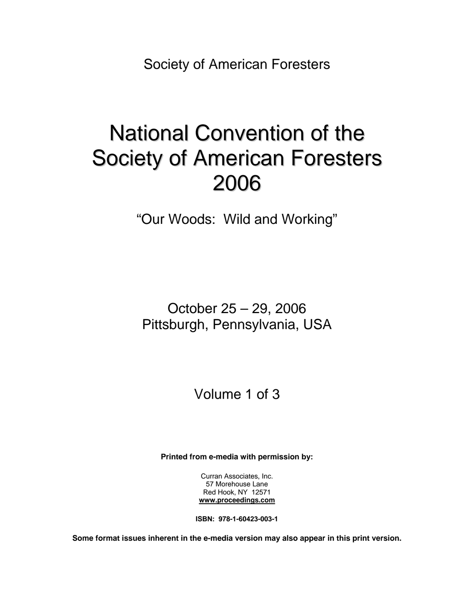Society of American Foresters

# National Convention of the Society of American Foresters 2006

"Our Woods: Wild and Working"

October 25 – 29, 2006 Pittsburgh, Pennsylvania, USA

Volume 1 of 3

**Printed from e-media with permission by:** 

Curran Associates, Inc. 57 Morehouse Lane Red Hook, NY 12571 **[www.proceedings.com](http://www.proceedings.com/)**

**ISBN: 978-1-60423-003-1** 

**Some format issues inherent in the e-media version may also appear in this print version.**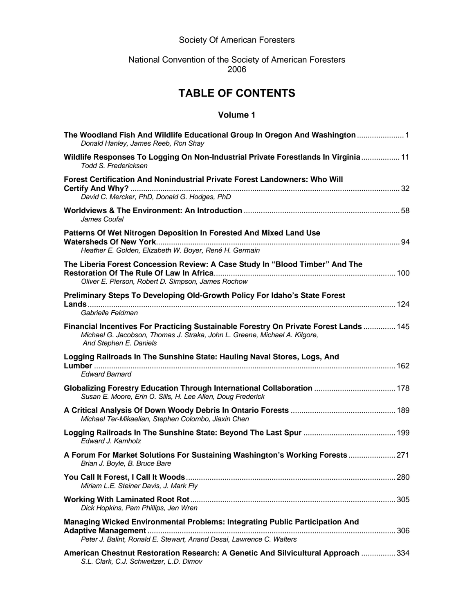### Society Of American Foresters

#### National Convention of the Society of American Foresters 2006

## **TABLE OF CONTENTS**

#### **Volume 1**

| The Woodland Fish And Wildlife Educational Group In Oregon And Washington  1<br>Donald Hanley, James Reeb, Ron Shay                                                                           |     |
|-----------------------------------------------------------------------------------------------------------------------------------------------------------------------------------------------|-----|
| Wildlife Responses To Logging On Non-Industrial Private Forestlands In Virginia 11<br>Todd S. Fredericksen                                                                                    |     |
| Forest Certification And Nonindustrial Private Forest Landowners: Who Will<br>David C. Mercker, PhD, Donald G. Hodges, PhD                                                                    |     |
| James Coufal                                                                                                                                                                                  |     |
| Patterns Of Wet Nitrogen Deposition In Forested And Mixed Land Use<br>Heather E. Golden, Elizabeth W. Boyer, René H. Germain                                                                  |     |
| The Liberia Forest Concession Review: A Case Study In "Blood Timber" And The<br>Oliver E. Pierson, Robert D. Simpson, James Rochow                                                            |     |
| Preliminary Steps To Developing Old-Growth Policy For Idaho's State Forest<br>Gabrielle Feldman                                                                                               |     |
| Financial Incentives For Practicing Sustainable Forestry On Private Forest Lands  145<br>Michael G. Jacobson, Thomas J. Straka, John L. Greene, Michael A. Kilgore,<br>And Stephen E. Daniels |     |
| Logging Railroads In The Sunshine State: Hauling Naval Stores, Logs, And<br><b>Edward Barnard</b>                                                                                             |     |
| Globalizing Forestry Education Through International Collaboration  178<br>Susan E. Moore, Erin O. Sills, H. Lee Allen, Doug Frederick                                                        |     |
| Michael Ter-Mikaelian, Stephen Colombo, Jiaxin Chen                                                                                                                                           |     |
| Edward J. Kamholz                                                                                                                                                                             |     |
| A Forum For Market Solutions For Sustaining Washington's Working Forests  271<br>Brian J. Boyle, B. Bruce Bare                                                                                |     |
| Miriam L.E. Steiner Davis, J. Mark Fly                                                                                                                                                        | 280 |
| Dick Hopkins, Pam Phillips, Jen Wren                                                                                                                                                          |     |
| <b>Managing Wicked Environmental Problems: Integrating Public Participation And</b><br>Peter J. Balint, Ronald E. Stewart, Anand Desai, Lawrence C. Walters                                   |     |
| American Chestnut Restoration Research: A Genetic And Silvicultural Approach  334                                                                                                             |     |

*S.L. Clark, C.J. Schweitzer, L.D. Dimov*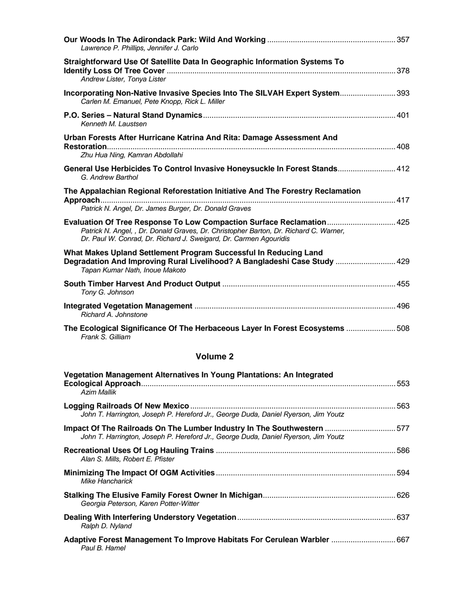| Lawrence P. Phillips, Jennifer J. Carlo                                                                                                                                                                                             |  |
|-------------------------------------------------------------------------------------------------------------------------------------------------------------------------------------------------------------------------------------|--|
| Straightforward Use Of Satellite Data In Geographic Information Systems To<br>Andrew Lister, Tonya Lister                                                                                                                           |  |
| Incorporating Non-Native Invasive Species Into The SILVAH Expert System 393<br>Carlen M. Emanuel, Pete Knopp, Rick L. Miller                                                                                                        |  |
| Kenneth M. Laustsen                                                                                                                                                                                                                 |  |
| Urban Forests After Hurricane Katrina And Rita: Damage Assessment And                                                                                                                                                               |  |
| Zhu Hua Ning, Kamran Abdollahi                                                                                                                                                                                                      |  |
| General Use Herbicides To Control Invasive Honeysuckle In Forest Stands 412<br>G. Andrew Barthol                                                                                                                                    |  |
| The Appalachian Regional Reforestation Initiative And The Forestry Reclamation<br>Patrick N. Angel, Dr. James Burger, Dr. Donald Graves                                                                                             |  |
| Evaluation Of Tree Response To Low Compaction Surface Reclamation 425<br>Patrick N. Angel, , Dr. Donald Graves, Dr. Christopher Barton, Dr. Richard C. Warner,<br>Dr. Paul W. Conrad, Dr. Richard J. Sweigard, Dr. Carmen Agouridis |  |
| What Makes Upland Settlement Program Successful In Reducing Land<br>Degradation And Improving Rural Livelihood? A Bangladeshi Case Study  429<br>Tapan Kumar Nath, Inoue Makoto                                                     |  |
| Tony G. Johnson                                                                                                                                                                                                                     |  |
| Richard A. Johnstone                                                                                                                                                                                                                |  |
| The Ecological Significance Of The Herbaceous Layer In Forest Ecosystems  508<br>Frank S. Gilliam                                                                                                                                   |  |
| <b>Volume 2</b>                                                                                                                                                                                                                     |  |
| Vegetation Management Alternatives In Young Plantations: An Integrated<br><b>Azim Mallik</b>                                                                                                                                        |  |
| John T. Harrington, Joseph P. Hereford Jr., George Duda, Daniel Ryerson, Jim Youtz                                                                                                                                                  |  |

| <u>JUM T. Hamnytun, JUSEDITT. HEIEIULU JI., OEUIYE DUYA, DAMEI IYYEISUN, JIM TUULL</u>                                                                       |      |
|--------------------------------------------------------------------------------------------------------------------------------------------------------------|------|
| Impact Of The Railroads On The Lumber Industry In The Southwestern 577<br>John T. Harrington, Joseph P. Hereford Jr., George Duda, Daniel Ryerson, Jim Youtz |      |
| Alan S. Mills, Robert E. Pfister                                                                                                                             | .586 |
| Mike Hancharick                                                                                                                                              |      |
| Georgia Peterson, Karen Potter-Witter                                                                                                                        |      |
| Ralph D. Nyland                                                                                                                                              |      |
| Paul B. Hamel                                                                                                                                                |      |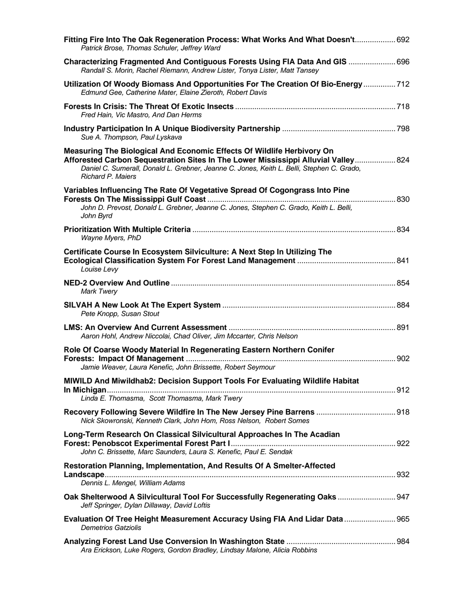| Fitting Fire Into The Oak Regeneration Process: What Works And What Doesn't 692<br>Patrick Brose, Thomas Schuler, Jeffrey Ward                                                                                                                                                        |  |
|---------------------------------------------------------------------------------------------------------------------------------------------------------------------------------------------------------------------------------------------------------------------------------------|--|
| Characterizing Fragmented And Contiguous Forests Using FIA Data And GIS  696<br>Randall S. Morin, Rachel Riemann, Andrew Lister, Tonya Lister, Matt Tansey                                                                                                                            |  |
| Utilization Of Woody Biomass And Opportunities For The Creation Of Bio-Energy  712<br>Edmund Gee, Catherine Mater, Elaine Zieroth, Robert Davis                                                                                                                                       |  |
| Fred Hain, Vic Mastro, And Dan Herms                                                                                                                                                                                                                                                  |  |
| Sue A. Thompson, Paul Lyskava                                                                                                                                                                                                                                                         |  |
| Measuring The Biological And Economic Effects Of Wildlife Herbivory On<br>Afforested Carbon Sequestration Sites In The Lower Mississippi Alluvial Valley 824<br>Daniel C. Sumerall, Donald L. Grebner, Jeanne C. Jones, Keith L. Belli, Stephen C. Grado,<br><b>Richard P. Maiers</b> |  |
| Variables Influencing The Rate Of Vegetative Spread Of Cogongrass Into Pine                                                                                                                                                                                                           |  |
| John D. Prevost, Donald L. Grebner, Jeanne C. Jones, Stephen C. Grado, Keith L. Belli,<br>John Byrd                                                                                                                                                                                   |  |
| Wayne Myers, PhD                                                                                                                                                                                                                                                                      |  |
| Certificate Course In Ecosystem Silviculture: A Next Step In Utilizing The<br>Louise Levy                                                                                                                                                                                             |  |
| <b>Mark Twery</b>                                                                                                                                                                                                                                                                     |  |
| Pete Knopp, Susan Stout                                                                                                                                                                                                                                                               |  |
| Aaron Hohl, Andrew Niccolai, Chad Oliver, Jim Mccarter, Chris Nelson                                                                                                                                                                                                                  |  |
| Role Of Coarse Woody Material In Regenerating Eastern Northern Conifer<br>Jamie Weaver, Laura Kenefic, John Brissette, Robert Seymour                                                                                                                                                 |  |
| MIWILD And Miwildhab2: Decision Support Tools For Evaluating Wildlife Habitat<br>Linda E. Thomasma, Scott Thomasma, Mark Twery                                                                                                                                                        |  |
| Recovery Following Severe Wildfire In The New Jersey Pine Barrens  918<br>Nick Skowronski, Kenneth Clark, John Hom, Ross Nelson, Robert Somes                                                                                                                                         |  |
| Long-Term Research On Classical Silvicultural Approaches In The Acadian<br>John C. Brissette, Marc Saunders, Laura S. Kenefic, Paul E. Sendak                                                                                                                                         |  |
| <b>Restoration Planning, Implementation, And Results Of A Smelter-Affected</b><br>Dennis L. Mengel, William Adams                                                                                                                                                                     |  |
| Oak Shelterwood A Silvicultural Tool For Successfully Regenerating Oaks  947<br>Jeff Springer, Dylan Dillaway, David Loftis                                                                                                                                                           |  |
| Evaluation Of Tree Height Measurement Accuracy Using FIA And Lidar Data 965<br><b>Demetrios Gatziolis</b>                                                                                                                                                                             |  |
| Ara Erickson, Luke Rogers, Gordon Bradley, Lindsay Malone, Alicia Robbins                                                                                                                                                                                                             |  |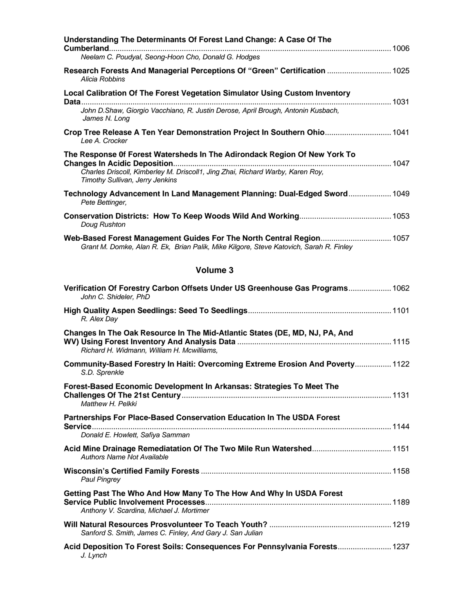| Understanding The Determinants Of Forest Land Change: A Case Of The                                                                                                                                                                   |
|---------------------------------------------------------------------------------------------------------------------------------------------------------------------------------------------------------------------------------------|
| Neelam C. Poudyal, Seong-Hoon Cho, Donald G. Hodges                                                                                                                                                                                   |
| Research Forests And Managerial Perceptions Of "Green" Certification  1025<br>Alicia Robbins                                                                                                                                          |
| <b>Local Calibration Of The Forest Vegetation Simulator Using Custom Inventory</b><br>John D.Shaw, Giorgio Vacchiano, R. Justin Derose, April Brough, Antonin Kusbach,<br>James N. Long                                               |
| Crop Tree Release A Ten Year Demonstration Project In Southern Ohio 1041<br>Lee A. Crocker                                                                                                                                            |
| The Response 0f Forest Watersheds In The Adirondack Region Of New York To<br><b>Changes In Acidic Deposition</b><br>Charles Driscoll, Kimberley M. Driscoll1, Jing Zhai, Richard Warby, Karen Roy,<br>Timothy Sullivan, Jerry Jenkins |
| Technology Advancement In Land Management Planning: Dual-Edged Sword 1049<br>Pete Bettinger,                                                                                                                                          |
| Doug Rushton                                                                                                                                                                                                                          |
| Web-Based Forest Management Guides For The North Central Region 1057<br>Grant M. Domke, Alan R. Ek, Brian Palik, Mike Kilgore, Steve Katovich, Sarah R. Finley                                                                        |
| <b>Volume 3</b>                                                                                                                                                                                                                       |
| Verification Of Forestry Carbon Offsets Under US Greenhouse Gas Programs 1062                                                                                                                                                         |

| John C. Shideler, PhD                                                                                                     |
|---------------------------------------------------------------------------------------------------------------------------|
| R. Alex Day                                                                                                               |
| Changes In The Oak Resource In The Mid-Atlantic States (DE, MD, NJ, PA, And<br>Richard H. Widmann, William H. Mcwilliams, |
| Community-Based Forestry In Haiti: Overcoming Extreme Erosion And Poverty 1122<br>S.D. Sprenkle                           |
| Forest-Based Economic Development In Arkansas: Strategies To Meet The<br>Matthew H. Pelkki                                |
| Partnerships For Place-Based Conservation Education In The USDA Forest<br>Donald E. Howlett, Safiya Samman                |
| Authors Name Not Available                                                                                                |
| <b>Paul Pingrey</b>                                                                                                       |
| Getting Past The Who And How Many To The How And Why In USDA Forest<br>Anthony V. Scardina, Michael J. Mortimer           |
| Sanford S. Smith, James C. Finley, And Gary J. San Julian                                                                 |
| Acid Deposition To Forest Soils: Consequences For Pennsylvania Forests 1237<br>J. Lynch                                   |